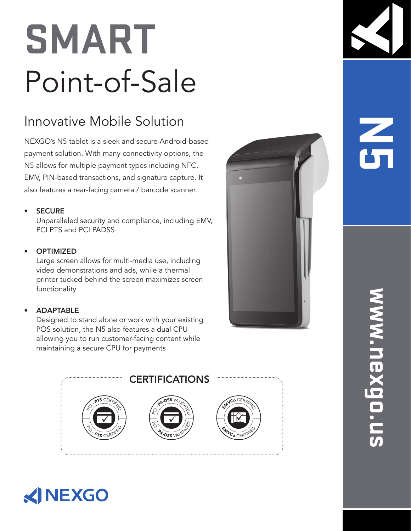## **SMART** Point-of-Sale

## Innovative Mobile Solution

NEXGO's N5 tablet is a sleek and secure Android-based payment solution. With many connectivity options, the N5 allows for multiple payment types including NFC, EMV, PIN-based transactions, and signature capture. It also features a rear-facing camera / barcode scanner.

#### **SECURE**

Unparalleled security and compliance, including EMV, PCI PTS and PCI PADSS

### **OPTIMIZED**

Large screen allows for multi-media use, including video demonstrations and ads, while a thermal printer tucked behind the screen maximizes screen functionality

### • ADAPTABLE

Designed to stand alone or work with your existing POS solution, the N5 also features a dual CPU allowing you to run customer-facing content while maintaining a secure CPU for payments









# **N5**

# **www.nexgo.us** www.nexgo.u